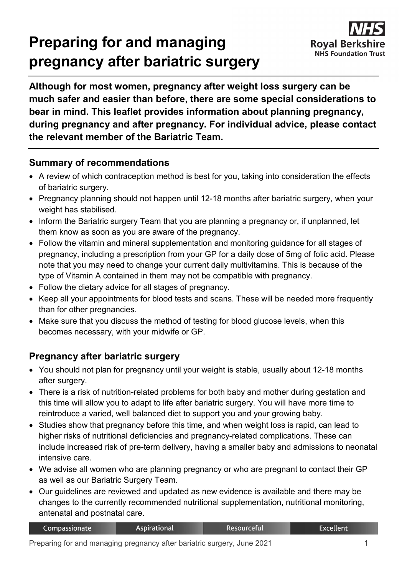# **Preparing for and managing pregnancy after bariatric surgery**



**Although for most women, pregnancy after weight loss surgery can be much safer and easier than before, there are some special considerations to bear in mind. This leaflet provides information about planning pregnancy, during pregnancy and after pregnancy. For individual advice, please contact the relevant member of the Bariatric Team.**

## **Summary of recommendations**

- A review of which contraception method is best for you, taking into consideration the effects of bariatric surgery.
- Pregnancy planning should not happen until 12-18 months after bariatric surgery, when your weight has stabilised.
- Inform the Bariatric surgery Team that you are planning a pregnancy or, if unplanned, let them know as soon as you are aware of the pregnancy.
- Follow the vitamin and mineral supplementation and monitoring guidance for all stages of pregnancy, including a prescription from your GP for a daily dose of 5mg of folic acid. Please note that you may need to change your current daily multivitamins. This is because of the type of Vitamin A contained in them may not be compatible with pregnancy.
- Follow the dietary advice for all stages of pregnancy.
- Keep all your appointments for blood tests and scans. These will be needed more frequently than for other pregnancies.
- Make sure that you discuss the method of testing for blood glucose levels, when this becomes necessary, with your midwife or GP.

# **Pregnancy after bariatric surgery**

- You should not plan for pregnancy until your weight is stable, usually about 12-18 months after surgery.
- There is a risk of nutrition-related problems for both baby and mother during gestation and this time will allow you to adapt to life after bariatric surgery. You will have more time to reintroduce a varied, well balanced diet to support you and your growing baby.
- Studies show that pregnancy before this time, and when weight loss is rapid, can lead to higher risks of nutritional deficiencies and pregnancy-related complications. These can include increased risk of pre-term delivery, having a smaller baby and admissions to neonatal intensive care.
- We advise all women who are planning pregnancy or who are pregnant to contact their GP as well as our Bariatric Surgery Team.
- Our guidelines are reviewed and updated as new evidence is available and there may be changes to the currently recommended nutritional supplementation, nutritional monitoring, antenatal and postnatal care.

| Excellent <sup>1</sup><br><b>Aspirational</b><br>Resourceful<br>Compassionate l |  |  |  |  |
|---------------------------------------------------------------------------------|--|--|--|--|
|---------------------------------------------------------------------------------|--|--|--|--|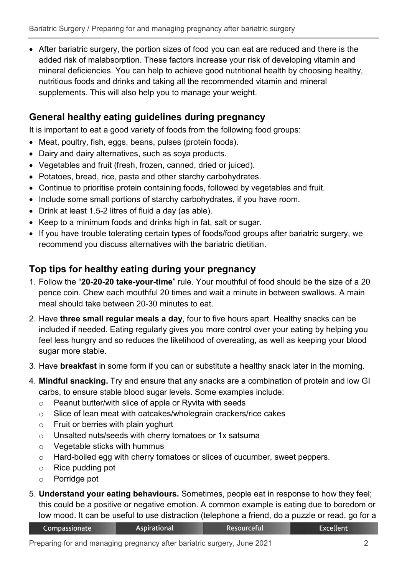• After bariatric surgery, the portion sizes of food you can eat are reduced and there is the added risk of malabsorption. These factors increase your risk of developing vitamin and mineral deficiencies. You can help to achieve good nutritional health by choosing healthy, nutritious foods and drinks and taking all the recommended vitamin and mineral supplements. This will also help you to manage your weight.

# **General healthy eating guidelines during pregnancy**

It is important to eat a good variety of foods from the following food groups:

- Meat, poultry, fish, eggs, beans, pulses (protein foods).
- Dairy and dairy alternatives, such as soya products.
- Vegetables and fruit (fresh, frozen, canned, dried or juiced).
- Potatoes, bread, rice, pasta and other starchy carbohydrates.
- Continue to prioritise protein containing foods, followed by vegetables and fruit.
- Include some small portions of starchy carbohydrates, if you have room.
- Drink at least 1.5-2 litres of fluid a day (as able).
- Keep to a minimum foods and drinks high in fat, salt or sugar.
- If you have trouble tolerating certain types of foods/food groups after bariatric surgery, we recommend you discuss alternatives with the bariatric dietitian.

#### **Top tips for healthy eating during your pregnancy**

- 1. Follow the "**20-20-20 take-your-time**" rule. Your mouthful of food should be the size of a 20 pence coin. Chew each mouthful 20 times and wait a minute in between swallows. A main meal should take between 20-30 minutes to eat.
- 2. Have **three small regular meals a day**, four to five hours apart. Healthy snacks can be included if needed. Eating regularly gives you more control over your eating by helping you feel less hungry and so reduces the likelihood of overeating, as well as keeping your blood sugar more stable.
- 3. Have **breakfast** in some form if you can or substitute a healthy snack later in the morning.
- 4. **Mindful snacking.** Try and ensure that any snacks are a combination of protein and low GI carbs, to ensure stable blood sugar levels. Some examples include:
	- o Peanut butter/with slice of apple or Ryvita with seeds
	- o Slice of lean meat with oatcakes/wholegrain crackers/rice cakes
	- o Fruit or berries with plain yoghurt
	- o Unsalted nuts/seeds with cherry tomatoes or 1x satsuma
	- o Vegetable sticks with hummus
	- o Hard-boiled egg with cherry tomatoes or slices of cucumber, sweet peppers.
	- o Rice pudding pot
	- o Porridge pot
- 5. **Understand your eating behaviours.** Sometimes, people eat in response to how they feel; this could be a positive or negative emotion. A common example is eating due to boredom or low mood. It can be useful to use distraction (telephone a friend, do a puzzle or read, go for a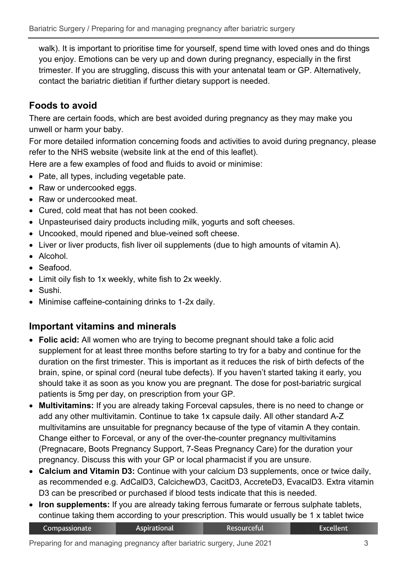walk). It is important to prioritise time for yourself, spend time with loved ones and do things you enjoy. Emotions can be very up and down during pregnancy, especially in the first trimester. If you are struggling, discuss this with your antenatal team or GP. Alternatively, contact the bariatric dietitian if further dietary support is needed.

# **Foods to avoid**

There are certain foods, which are best avoided during pregnancy as they may make you unwell or harm your baby.

For more detailed information concerning foods and activities to avoid during pregnancy, please refer to the NHS website (website link at the end of this leaflet).

Here are a few examples of food and fluids to avoid or minimise:

- Pate, all types, including vegetable pate.
- Raw or undercooked eggs.
- Raw or undercooked meat.
- Cured, cold meat that has not been cooked.
- Unpasteurised dairy products including milk, yogurts and soft cheeses.
- Uncooked, mould ripened and blue-veined soft cheese.
- Liver or liver products, fish liver oil supplements (due to high amounts of vitamin A).
- Alcohol.
- Seafood.
- Limit oily fish to 1x weekly, white fish to 2x weekly.
- Sushi.
- Minimise caffeine-containing drinks to 1-2x daily.

# **Important vitamins and minerals**

- **Folic acid:** All women who are trying to become pregnant should take a folic acid supplement for at least three months before starting to try for a baby and continue for the duration on the first trimester. This is important as it reduces the risk of birth defects of the brain, spine, or spinal cord (neural tube defects). If you haven't started taking it early, you should take it as soon as you know you are pregnant. The dose for post-bariatric surgical patients is 5mg per day, on prescription from your GP.
- **Multivitamins:** If you are already taking Forceval capsules, there is no need to change or add any other multivitamin. Continue to take 1x capsule daily. All other standard A-Z multivitamins are unsuitable for pregnancy because of the type of vitamin A they contain. Change either to Forceval, or any of the over-the-counter pregnancy multivitamins (Pregnacare, Boots Pregnancy Support, 7-Seas Pregnancy Care) for the duration your pregnancy. Discuss this with your GP or local pharmacist if you are unsure.
- **Calcium and Vitamin D3:** Continue with your calcium D3 supplements, once or twice daily, as recommended e.g. AdCalD3, CalcichewD3, CacitD3, AccreteD3, EvacalD3. Extra vitamin D3 can be prescribed or purchased if blood tests indicate that this is needed.
- **Iron supplements:** If you are already taking ferrous fumarate or ferrous sulphate tablets, continue taking them according to your prescription. This would usually be 1 x tablet twice

Resourceful

| Compassionate | Aspirational |
|---------------|--------------|
|---------------|--------------|

**Excellent**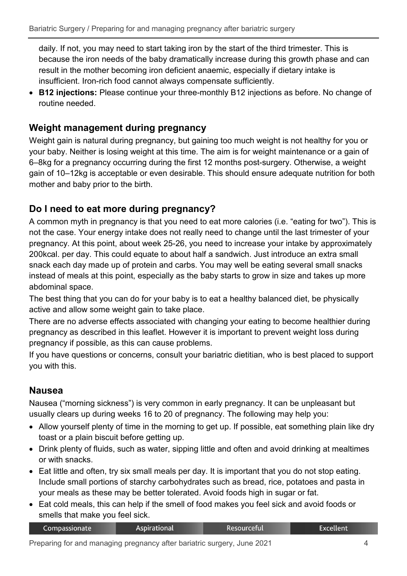daily. If not, you may need to start taking iron by the start of the third trimester. This is because the iron needs of the baby dramatically increase during this growth phase and can result in the mother becoming iron deficient anaemic, especially if dietary intake is insufficient. Iron-rich food cannot always compensate sufficiently.

• **B12 injections:** Please continue your three-monthly B12 injections as before. No change of routine needed.

## **Weight management during pregnancy**

Weight gain is natural during pregnancy, but gaining too much weight is not healthy for you or your baby. Neither is losing weight at this time. The aim is for weight maintenance or a gain of 6–8kg for a pregnancy occurring during the first 12 months post-surgery. Otherwise, a weight gain of 10–12kg is acceptable or even desirable. This should ensure adequate nutrition for both mother and baby prior to the birth.

# **Do I need to eat more during pregnancy?**

A common myth in pregnancy is that you need to eat more calories (i.e. "eating for two"). This is not the case. Your energy intake does not really need to change until the last trimester of your pregnancy. At this point, about week 25-26, you need to increase your intake by approximately 200kcal. per day. This could equate to about half a sandwich. Just introduce an extra small snack each day made up of protein and carbs. You may well be eating several small snacks instead of meals at this point, especially as the baby starts to grow in size and takes up more abdominal space.

The best thing that you can do for your baby is to eat a healthy balanced diet, be physically active and allow some weight gain to take place.

There are no adverse effects associated with changing your eating to become healthier during pregnancy as described in this leaflet. However it is important to prevent weight loss during pregnancy if possible, as this can cause problems.

If you have questions or concerns, consult your bariatric dietitian, who is best placed to support you with this.

## **Nausea**

Nausea ("morning sickness") is very common in early pregnancy. It can be unpleasant but usually clears up during weeks 16 to 20 of pregnancy. The following may help you:

- Allow yourself plenty of time in the morning to get up. If possible, eat something plain like dry toast or a plain biscuit before getting up.
- Drink plenty of fluids, such as water, sipping little and often and avoid drinking at mealtimes or with snacks.
- Eat little and often, try six small meals per day. It is important that you do not stop eating. Include small portions of starchy carbohydrates such as bread, rice, potatoes and pasta in your meals as these may be better tolerated. Avoid foods high in sugar or fat.
- Eat cold meals, this can help if the smell of food makes you feel sick and avoid foods or smells that make you feel sick.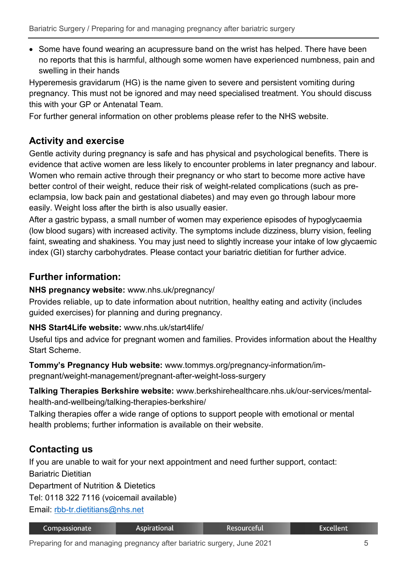• Some have found wearing an acupressure band on the wrist has helped. There have been no reports that this is harmful, although some women have experienced numbness, pain and swelling in their hands

Hyperemesis gravidarum (HG) is the name given to severe and persistent vomiting during pregnancy. This must not be ignored and may need specialised treatment. You should discuss this with your GP or Antenatal Team.

For further general information on other problems please refer to the NHS website.

# **Activity and exercise**

Gentle activity during pregnancy is safe and has physical and psychological benefits. There is evidence that active women are less likely to encounter problems in later pregnancy and labour. Women who remain active through their pregnancy or who start to become more active have better control of their weight, reduce their risk of weight-related complications (such as preeclampsia, low back pain and gestational diabetes) and may even go through labour more easily. Weight loss after the birth is also usually easier.

After a gastric bypass, a small number of women may experience episodes of hypoglycaemia (low blood sugars) with increased activity. The symptoms include dizziness, blurry vision, feeling faint, sweating and shakiness. You may just need to slightly increase your intake of low glycaemic index (GI) starchy carbohydrates. Please contact your bariatric dietitian for further advice.

## **Further information:**

**NHS pregnancy website:** www.nhs.uk/pregnancy/

Provides reliable, up to date information about nutrition, healthy eating and activity (includes guided exercises) for planning and during pregnancy.

#### **NHS Start4Life website:** www.nhs.uk/start4life/

Useful tips and advice for pregnant women and families. Provides information about the Healthy Start Scheme.

**Tommy's Pregnancy Hub website:** www.tommys.org/pregnancy-information/impregnant/weight-management/pregnant-after-weight-loss-surgery

**Talking Therapies Berkshire website:** www.berkshirehealthcare.nhs.uk/our-services/mentalhealth-and-wellbeing/talking-therapies-berkshire/

Talking therapies offer a wide range of options to support people with emotional or mental health problems; further information is available on their website.

# **Contacting us**

If you are unable to wait for your next appointment and need further support, contact: Bariatric Dietitian

Department of Nutrition & Dietetics

Tel: 0118 322 7116 (voicemail available)

Email: [rbb-tr.dietitians@nhs.net](mailto:rbb-tr.dietitians@nhs.net)

| Compassionate | <b>Aspirational</b> | Resourceful | Excellent |
|---------------|---------------------|-------------|-----------|
|---------------|---------------------|-------------|-----------|